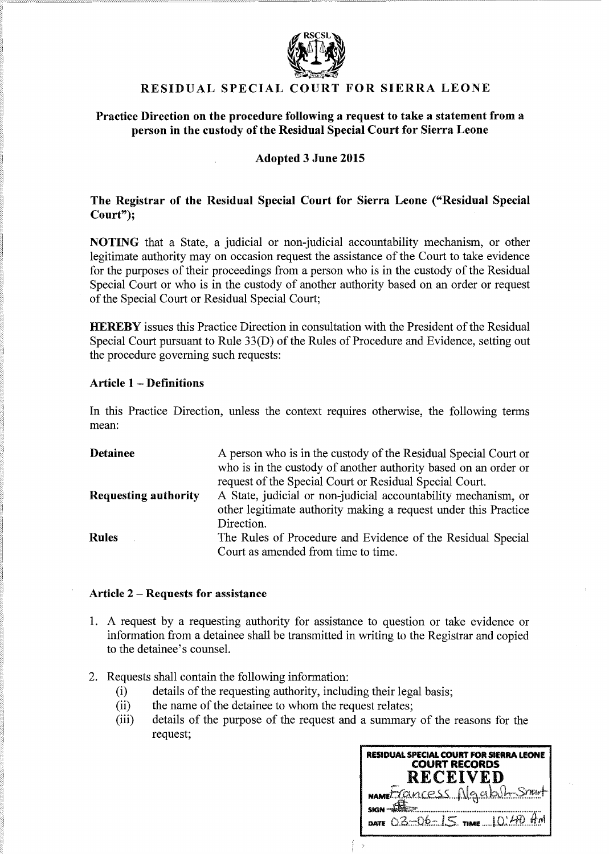

# RESIDUAL SPECIAL COURT FOR SIERRA LEONE

### Practice Direction on the procedure following a request to take a statement from a person in the custody of the Residual Special Court for Sierra Leone

## Adopted 3 June 2015

## The Registrar of the Residual Special Court for Sierra Leone ("Residual Special Court");

NOTING that a State, a judicial or non-judicial accountability mechanism, or other legitimate authority may on occasion request the assistance of the Court to take evidence for the purposes of their proceedings from a person who is in the custody of the Residual Special Court or who is in the custody of another authority based on an order or request of the Special Court or Residual Special Court;

HEREBY issues this Practice Direction in consultation with the President of the Residual Special Court pursuant to Rule 33(D) of the Rules of Procedure and Evidence, setting out the procedure governing such requests:

#### Article 1 - Definitions

In this Practice Direction, unless the context requires otherwise, the following terms mean:

| <b>Detainee</b>             | A person who is in the custody of the Residual Special Court or<br>who is in the custody of another authority based on an order or<br>request of the Special Court or Residual Special Court. |
|-----------------------------|-----------------------------------------------------------------------------------------------------------------------------------------------------------------------------------------------|
| <b>Requesting authority</b> | A State, judicial or non-judicial accountability mechanism, or<br>other legitimate authority making a request under this Practice<br>Direction.                                               |
| <b>Rules</b>                | The Rules of Procedure and Evidence of the Residual Special<br>Court as amended from time to time.                                                                                            |

#### Article 2 - Requests for assistance

- 1. A request by a requesting authority for assistance to question or take evidence or information from a detainee shall be transmitted in writing to the Registrar and copied to the detainee's counsel.
- 2. Requests shall contain the following information:
	- (i) details of the requesting authority, including their legal basis;
	- (ii) the name of the detainee to whom the request relates;
	- (iii) details of the purpose of the request and a summary of the reasons for the request;

| RESIDUAL SPECIAL COURT FOR SIERRA LEONE<br><b>COURT RECORDS</b><br><b>RECEIVED</b> |
|------------------------------------------------------------------------------------|
| NAMEL Cancess Algab <sub>1</sub> Smut                                              |
|                                                                                    |
| $_{\text{DATE}}$ $0.3 - 0.6 - 1.5$ $_{\text{TIME}}$ $1.0.4 + 0.4 + 0.4$            |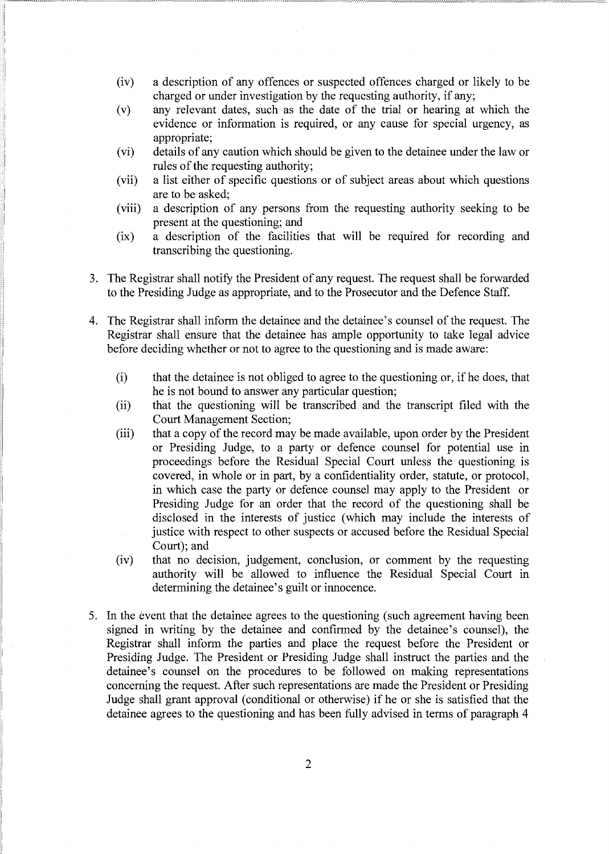- (iv) a description of any offences or suspected offences charged or likely to be charged or under investigation by the requesting authority, if any;
- (v) any relevant dates, such as the date of the trial or hearing at which the evidence or information is required, or any cause for special urgency, as appropriate;
- (vi) details of any caution which should be given to the detainee under the law or rules of the requesting authority;
- (vii) a list either of specific questions or of subject areas about which questions are to be asked;
- (viii) a description of any persons from the requesting authority seeking to be present at the questioning; and
- (ix) a description of the facilities that will be required for recording and transcribing the questioning.
- 3. The Registrar shall notify the President of any request. The request shall be forwarded to the Presiding Judge as appropriate, and to the Prosecutor and the Defence Staff.
- 4. The Registrar shall inform the detainee and the detainee's counsel of the request. The Registrar shall ensure that the detainee has ample opportunity to take legal advice before deciding whether or not to agree to the questioning and is made aware:
	- (i) that the detainee is not obliged to agree to the questioning or, if he does, that he is not bound to answer any particular question;
	- (ii) that the questioning will be transcribed and the transcript filed with the Court Management Section;
	- (iii) that a copy of the record may be made available, upon order by the President or Presiding Judge, to a party or defence counsel for potential use in proceedings before the Residual Special Court unless the questioning is covered, in whole or in part, by a confidentiality order, statute, or protocol, in which case the party or defence counsel may apply to the President or Presiding Judge for an order that the record of the questioning shall be disclosed in the interests of justice (which may include the interests of justice with respect to other suspects or accused before the Residual Special Court); and
	- (iv) that no decision, judgement, conclusion, or comment by the requesting authority will be allowed to influence the Residual Special Court in determining the detainee's guilt or innocence.
- 5. In the event that the detainee agrees to the questioning (such agreement having been signed in writing by the detainee and confirmed by the detainee's counsel), the Registrar shall inform the parties and place the request before the President or Presiding Judge. The President or Presiding Judge shall instruct the parties and the detainee's counsel on the procedures to be followed on making representations concerning the request. After such representations are made the President or Presiding Judge shall grant approval (conditional or otherwise) if he or she is satisfied that the detainee agrees to the questioning and has been fully advised in terms of paragraph 4